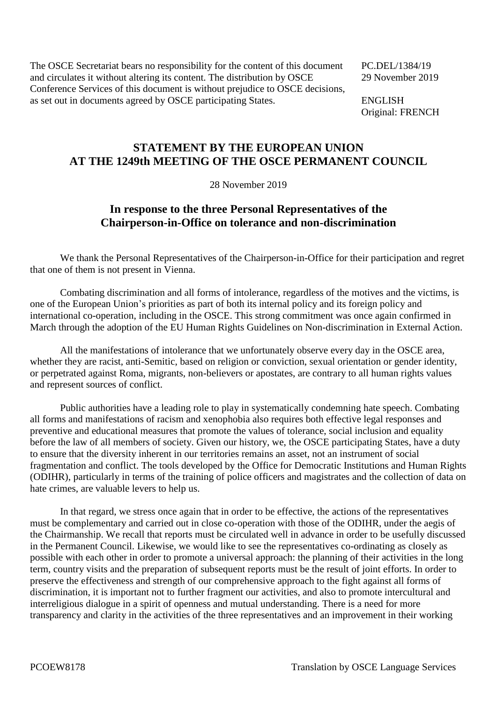The OSCE Secretariat bears no responsibility for the content of this document PC.DEL/1384/19 and circulates it without altering its content. The distribution by OSCE 29 November 2019 Conference Services of this document is without prejudice to OSCE decisions, as set out in documents agreed by OSCE participating States. ENGLISH

Original: FRENCH

## **STATEMENT BY THE EUROPEAN UNION AT THE 1249th MEETING OF THE OSCE PERMANENT COUNCIL**

28 November 2019

## **In response to the three Personal Representatives of the Chairperson-in-Office on tolerance and non-discrimination**

We thank the Personal Representatives of the Chairperson-in-Office for their participation and regret that one of them is not present in Vienna.

Combating discrimination and all forms of intolerance, regardless of the motives and the victims, is one of the European Union's priorities as part of both its internal policy and its foreign policy and international co-operation, including in the OSCE. This strong commitment was once again confirmed in March through the adoption of the EU Human Rights Guidelines on Non-discrimination in External Action.

All the manifestations of intolerance that we unfortunately observe every day in the OSCE area, whether they are racist, anti-Semitic, based on religion or conviction, sexual orientation or gender identity, or perpetrated against Roma, migrants, non-believers or apostates, are contrary to all human rights values and represent sources of conflict.

Public authorities have a leading role to play in systematically condemning hate speech. Combating all forms and manifestations of racism and xenophobia also requires both effective legal responses and preventive and educational measures that promote the values of tolerance, social inclusion and equality before the law of all members of society. Given our history, we, the OSCE participating States, have a duty to ensure that the diversity inherent in our territories remains an asset, not an instrument of social fragmentation and conflict. The tools developed by the Office for Democratic Institutions and Human Rights (ODIHR), particularly in terms of the training of police officers and magistrates and the collection of data on hate crimes, are valuable levers to help us.

In that regard, we stress once again that in order to be effective, the actions of the representatives must be complementary and carried out in close co-operation with those of the ODIHR, under the aegis of the Chairmanship. We recall that reports must be circulated well in advance in order to be usefully discussed in the Permanent Council. Likewise, we would like to see the representatives co-ordinating as closely as possible with each other in order to promote a universal approach: the planning of their activities in the long term, country visits and the preparation of subsequent reports must be the result of joint efforts. In order to preserve the effectiveness and strength of our comprehensive approach to the fight against all forms of discrimination, it is important not to further fragment our activities, and also to promote intercultural and interreligious dialogue in a spirit of openness and mutual understanding. There is a need for more transparency and clarity in the activities of the three representatives and an improvement in their working